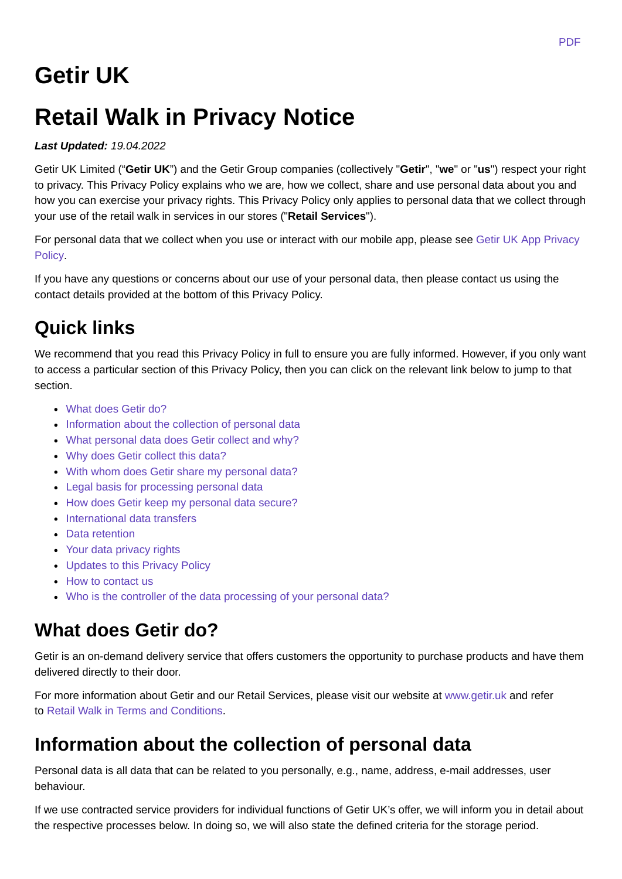# **Getir UK**

# **Retail Walk in Privacy Notice**

#### *Last Updated: 19.04.2022*

Getir UK Limited ("**Getir UK**") and the Getir Group companies (collectively "**Getir**", "**we**" or "**us**") respect your right to privacy. This Privacy Policy explains who we are, how we collect, share and use personal data about you and how you can exercise your privacy rights. This Privacy Policy only applies to personal data that we collect through your use of the retail walk in services in our stores ("**Retail Services**").

For personal data that we collect when you use or interact with our mobile app, please see Getir UK App Privacy Policy.

If you have any questions or concerns about our use of your personal data, then please contact us using the contact details provided at the bottom of this Privacy Policy.

# **Quick links**

We recommend that you read this Privacy Policy in full to ensure you are fully informed. However, if you only want to access a particular section of this Privacy Policy, then you can click on the relevant link below to jump to that section.

- What does Getir do?
- Information about the collection of personal data
- What personal data does Getir collect and why?
- Why does Getir collect this data?
- With whom does Getir share my personal data?
- Legal basis for processing personal data
- How does Getir keep my personal data secure?
- International data transfers
- Data retention
- Your data privacy rights
- Updates to this Privacy Policy
- How to contact us
- Who is the controller of the data processing of your personal data?

### **What does Getir do?**

Getir is an on-demand delivery service that offers customers the opportunity to purchase products and have them delivered directly to their door.

For more information about Getir and our Retail Services, please visit our website at www.getir.uk and refer to Retail Walk in Terms and Conditions.

### **Information about the collection of personal data**

Personal data is all data that can be related to you personally, e.g., name, address, e-mail addresses, user behaviour.

If we use contracted service providers for individual functions of Getir UK's offer, we will inform you in detail about the respective processes below. In doing so, we will also state the defined criteria for the storage period.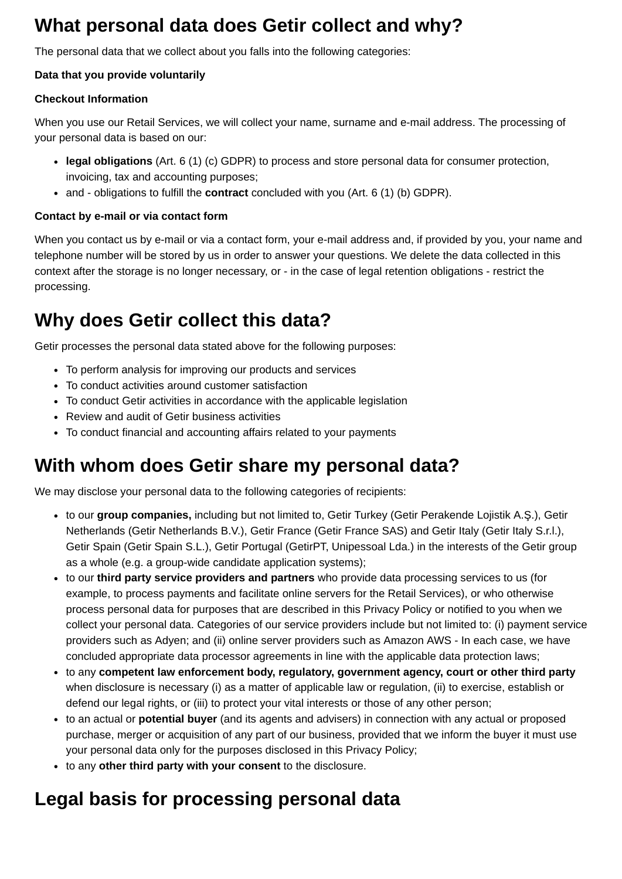### **What personal data does Getir collect and why?**

The personal data that we collect about you falls into the following categories:

#### **Data that you provide voluntarily**

#### **Checkout Information**

When you use our Retail Services, we will collect your name, surname and e-mail address. The processing of your personal data is based on our:

- **legal obligations** (Art. 6 (1) (c) GDPR) to process and store personal data for consumer protection, invoicing, tax and accounting purposes;
- and obligations to fulfill the **contract** concluded with you (Art. 6 (1) (b) GDPR).

#### **Contact by e-mail or via contact form**

When you contact us by e-mail or via a contact form, your e-mail address and, if provided by you, your name and telephone number will be stored by us in order to answer your questions. We delete the data collected in this context after the storage is no longer necessary, or - in the case of legal retention obligations - restrict the processing.

### **Why does Getir collect this data?**

Getir processes the personal data stated above for the following purposes:

- To perform analysis for improving our products and services
- To conduct activities around customer satisfaction
- To conduct Getir activities in accordance with the applicable legislation
- Review and audit of Getir business activities
- To conduct financial and accounting affairs related to your payments

### **With whom does Getir share my personal data?**

We may disclose your personal data to the following categories of recipients:

- to our **group companies,** including but not limited to, Getir Turkey (Getir Perakende Lojistik A.Ş.), Getir Netherlands (Getir Netherlands B.V.), Getir France (Getir France SAS) and Getir Italy (Getir Italy S.r.l.), Getir Spain (Getir Spain S.L.), Getir Portugal (GetirPT, Unipessoal Lda.) in the interests of the Getir group as a whole (e.g. a group-wide candidate application systems);
- to our **third party service providers and partners** who provide data processing services to us (for example, to process payments and facilitate online servers for the Retail Services), or who otherwise process personal data for purposes that are described in this Privacy Policy or notified to you when we collect your personal data. Categories of our service providers include but not limited to: (i) payment service providers such as Adyen; and (ii) online server providers such as Amazon AWS - In each case, we have concluded appropriate data processor agreements in line with the applicable data protection laws;
- to any **competent law enforcement body, regulatory, government agency, court or other third party** when disclosure is necessary (i) as a matter of applicable law or regulation, (ii) to exercise, establish or defend our legal rights, or (iii) to protect your vital interests or those of any other person;
- to an actual or **potential buyer** (and its agents and advisers) in connection with any actual or proposed purchase, merger or acquisition of any part of our business, provided that we inform the buyer it must use your personal data only for the purposes disclosed in this Privacy Policy;
- to any **other third party with your consent** to the disclosure.

## **Legal basis for processing personal data**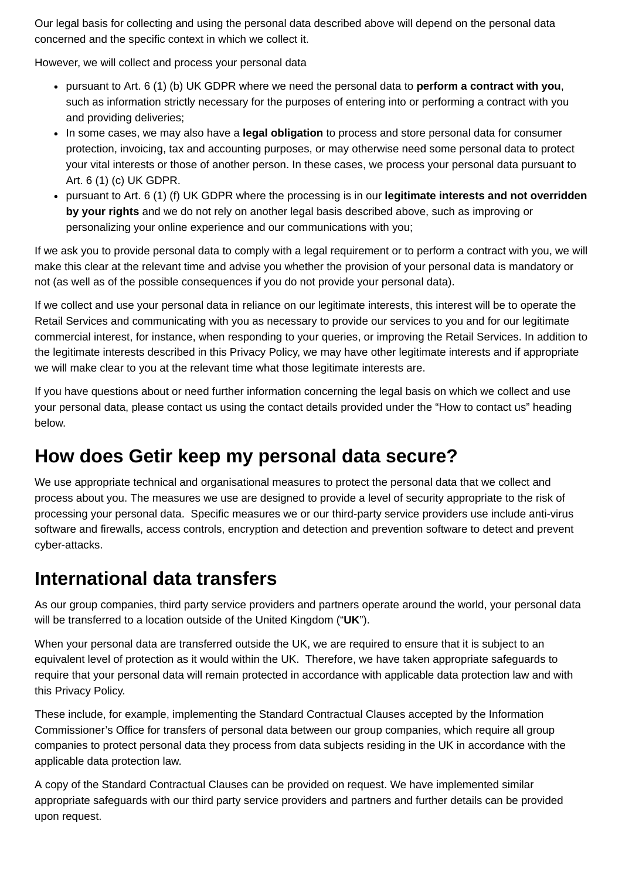Our legal basis for collecting and using the personal data described above will depend on the personal data concerned and the specific context in which we collect it.

However, we will collect and process your personal data

- pursuant to Art. 6 (1) (b) UK GDPR where we need the personal data to **perform a contract with you**, such as information strictly necessary for the purposes of entering into or performing a contract with you and providing deliveries;
- In some cases, we may also have a **legal obligation** to process and store personal data for consumer protection, invoicing, tax and accounting purposes, or may otherwise need some personal data to protect your vital interests or those of another person. In these cases, we process your personal data pursuant to Art. 6 (1) (c) UK GDPR.
- pursuant to Art. 6 (1) (f) UK GDPR where the processing is in our **legitimate interests and not overridden by your rights** and we do not rely on another legal basis described above, such as improving or personalizing your online experience and our communications with you;

If we ask you to provide personal data to comply with a legal requirement or to perform a contract with you, we will make this clear at the relevant time and advise you whether the provision of your personal data is mandatory or not (as well as of the possible consequences if you do not provide your personal data).

If we collect and use your personal data in reliance on our legitimate interests, this interest will be to operate the Retail Services and communicating with you as necessary to provide our services to you and for our legitimate commercial interest, for instance, when responding to your queries, or improving the Retail Services. In addition to the legitimate interests described in this Privacy Policy, we may have other legitimate interests and if appropriate we will make clear to you at the relevant time what those legitimate interests are.

If you have questions about or need further information concerning the legal basis on which we collect and use your personal data, please contact us using the contact details provided under the "How to contact us" heading below.

### **How does Getir keep my personal data secure?**

We use appropriate technical and organisational measures to protect the personal data that we collect and process about you. The measures we use are designed to provide a level of security appropriate to the risk of processing your personal data. Specific measures we or our third-party service providers use include anti-virus software and firewalls, access controls, encryption and detection and prevention software to detect and prevent cyber-attacks.

### **International data transfers**

As our group companies, third party service providers and partners operate around the world, your personal data will be transferred to a location outside of the United Kingdom ("**UK**").

When your personal data are transferred outside the UK, we are required to ensure that it is subject to an equivalent level of protection as it would within the UK. Therefore, we have taken appropriate safeguards to require that your personal data will remain protected in accordance with applicable data protection law and with this Privacy Policy.

These include, for example, implementing the Standard Contractual Clauses accepted by the Information Commissioner's Office for transfers of personal data between our group companies, which require all group companies to protect personal data they process from data subjects residing in the UK in accordance with the applicable data protection law.

A copy of the Standard Contractual Clauses can be provided on request. We have implemented similar appropriate safeguards with our third party service providers and partners and further details can be provided upon request.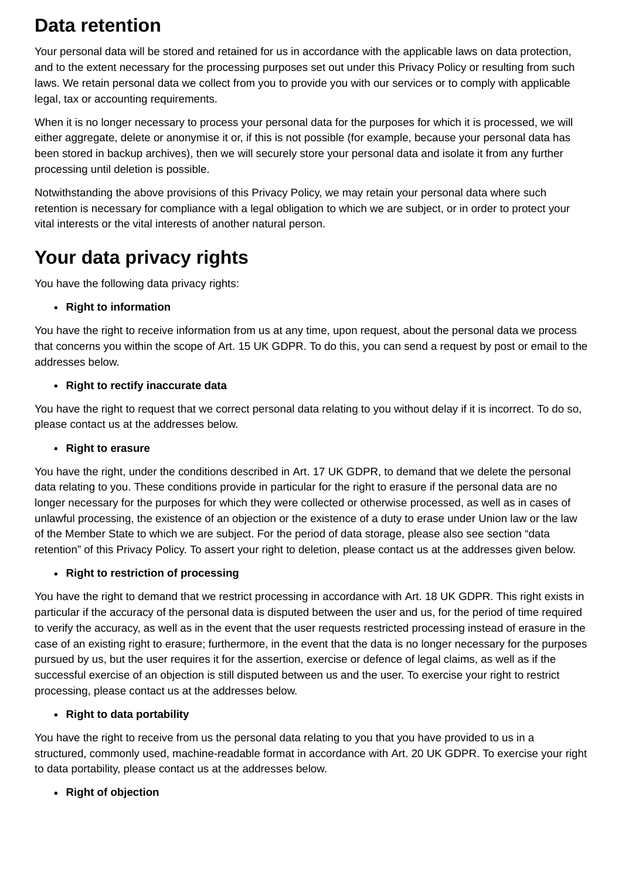### **Data retention**

Your personal data will be stored and retained for us in accordance with the applicable laws on data protection, and to the extent necessary for the processing purposes set out under this Privacy Policy or resulting from such laws. We retain personal data we collect from you to provide you with our services or to comply with applicable legal, tax or accounting requirements.

When it is no longer necessary to process your personal data for the purposes for which it is processed, we will either aggregate, delete or anonymise it or, if this is not possible (for example, because your personal data has been stored in backup archives), then we will securely store your personal data and isolate it from any further processing until deletion is possible.

Notwithstanding the above provisions of this Privacy Policy, we may retain your personal data where such retention is necessary for compliance with a legal obligation to which we are subject, or in order to protect your vital interests or the vital interests of another natural person.

## **Your data privacy rights**

You have the following data privacy rights:

#### **Right to information**

You have the right to receive information from us at any time, upon request, about the personal data we process that concerns you within the scope of Art. 15 UK GDPR. To do this, you can send a request by post or email to the addresses below.

#### **Right to rectify inaccurate data**

You have the right to request that we correct personal data relating to you without delay if it is incorrect. To do so, please contact us at the addresses below.

#### **Right to erasure**

You have the right, under the conditions described in Art. 17 UK GDPR, to demand that we delete the personal data relating to you. These conditions provide in particular for the right to erasure if the personal data are no longer necessary for the purposes for which they were collected or otherwise processed, as well as in cases of unlawful processing, the existence of an objection or the existence of a duty to erase under Union law or the law of the Member State to which we are subject. For the period of data storage, please also see section "data retention" of this Privacy Policy. To assert your right to deletion, please contact us at the addresses given below.

#### **Right to restriction of processing**

You have the right to demand that we restrict processing in accordance with Art. 18 UK GDPR. This right exists in particular if the accuracy of the personal data is disputed between the user and us, for the period of time required to verify the accuracy, as well as in the event that the user requests restricted processing instead of erasure in the case of an existing right to erasure; furthermore, in the event that the data is no longer necessary for the purposes pursued by us, but the user requires it for the assertion, exercise or defence of legal claims, as well as if the successful exercise of an objection is still disputed between us and the user. To exercise your right to restrict processing, please contact us at the addresses below.

#### **Right to data portability**

You have the right to receive from us the personal data relating to you that you have provided to us in a structured, commonly used, machine-readable format in accordance with Art. 20 UK GDPR. To exercise your right to data portability, please contact us at the addresses below.

#### **Right of objection**